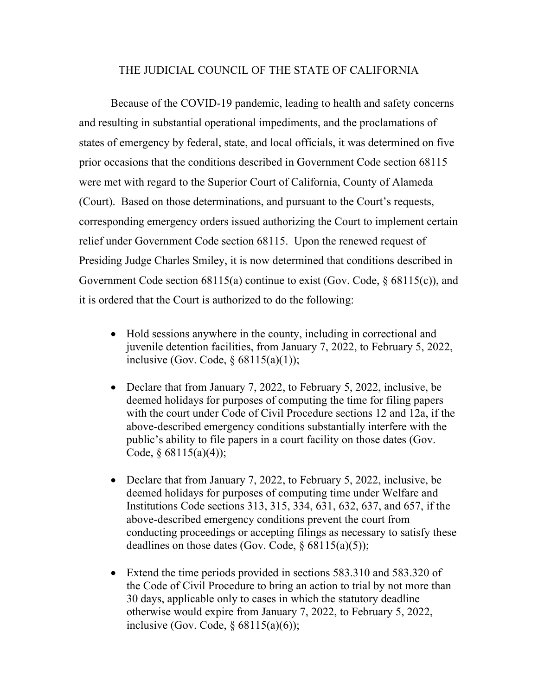## THE JUDICIAL COUNCIL OF THE STATE OF CALIFORNIA

Because of the COVID-19 pandemic, leading to health and safety concerns and resulting in substantial operational impediments, and the proclamations of states of emergency by federal, state, and local officials, it was determined on five prior occasions that the conditions described in Government Code section 68115 were met with regard to the Superior Court of California, County of Alameda (Court). Based on those determinations, and pursuant to the Court's requests, corresponding emergency orders issued authorizing the Court to implement certain relief under Government Code section 68115. Upon the renewed request of Presiding Judge Charles Smiley, it is now determined that conditions described in Government Code section 68115(a) continue to exist (Gov. Code, § 68115(c)), and it is ordered that the Court is authorized to do the following:

- Hold sessions anywhere in the county, including in correctional and juvenile detention facilities, from January 7, 2022, to February 5, 2022, inclusive (Gov. Code,  $\S$  68115(a)(1));
- Declare that from January 7, 2022, to February 5, 2022, inclusive, be deemed holidays for purposes of computing the time for filing papers with the court under Code of Civil Procedure sections 12 and 12a, if the above-described emergency conditions substantially interfere with the public's ability to file papers in a court facility on those dates (Gov. Code,  $§ 68115(a)(4)$ ;
- Declare that from January 7, 2022, to February 5, 2022, inclusive, be deemed holidays for purposes of computing time under Welfare and Institutions Code sections 313, 315, 334, 631, 632, 637, and 657, if the above-described emergency conditions prevent the court from conducting proceedings or accepting filings as necessary to satisfy these deadlines on those dates (Gov. Code,  $\S$  68115(a)(5));
- Extend the time periods provided in sections 583.310 and 583.320 of the Code of Civil Procedure to bring an action to trial by not more than 30 days, applicable only to cases in which the statutory deadline otherwise would expire from January 7, 2022, to February 5, 2022, inclusive (Gov. Code,  $\S$  68115(a)(6));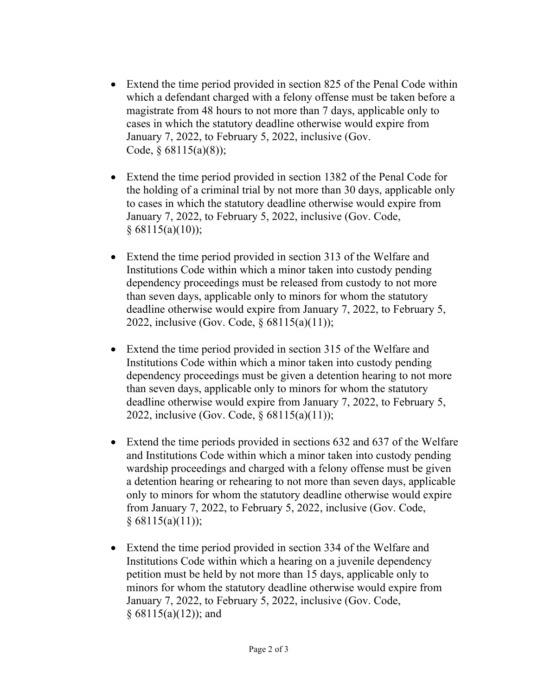- Extend the time period provided in section 825 of the Penal Code within which a defendant charged with a felony offense must be taken before a magistrate from 48 hours to not more than 7 days, applicable only to cases in which the statutory deadline otherwise would expire from January 7, 2022, to February 5, 2022, inclusive (Gov. Code,  $§$  68115(a)(8));
- Extend the time period provided in section 1382 of the Penal Code for the holding of a criminal trial by not more than 30 days, applicable only to cases in which the statutory deadline otherwise would expire from January 7, 2022, to February 5, 2022, inclusive (Gov. Code,  $§ 68115(a)(10));$
- Extend the time period provided in section 313 of the Welfare and Institutions Code within which a minor taken into custody pending dependency proceedings must be released from custody to not more than seven days, applicable only to minors for whom the statutory deadline otherwise would expire from January 7, 2022, to February 5, 2022, inclusive (Gov. Code, § 68115(a)(11));
- Extend the time period provided in section 315 of the Welfare and Institutions Code within which a minor taken into custody pending dependency proceedings must be given a detention hearing to not more than seven days, applicable only to minors for whom the statutory deadline otherwise would expire from January 7, 2022, to February 5, 2022, inclusive (Gov. Code, § 68115(a)(11));
- Extend the time periods provided in sections 632 and 637 of the Welfare and Institutions Code within which a minor taken into custody pending wardship proceedings and charged with a felony offense must be given a detention hearing or rehearing to not more than seven days, applicable only to minors for whom the statutory deadline otherwise would expire from January 7, 2022, to February 5, 2022, inclusive (Gov. Code,  $§ 68115(a)(11));$
- Extend the time period provided in section 334 of the Welfare and Institutions Code within which a hearing on a juvenile dependency petition must be held by not more than 15 days, applicable only to minors for whom the statutory deadline otherwise would expire from January 7, 2022, to February 5, 2022, inclusive (Gov. Code, § 68115(a)(12)); and